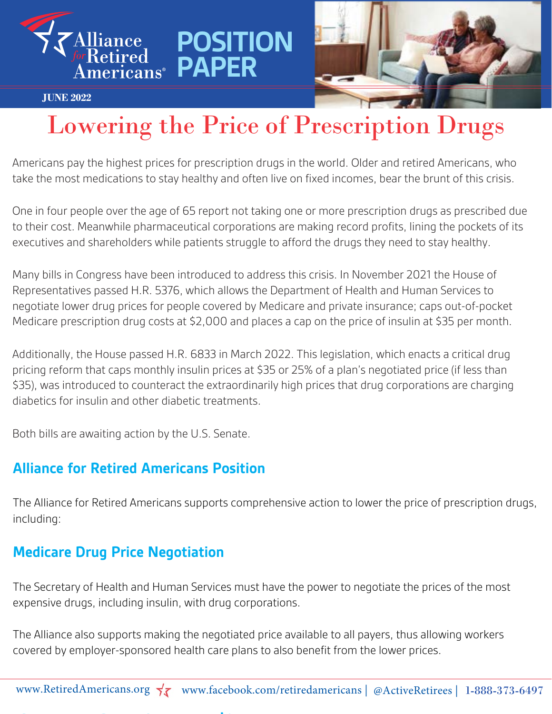

#### **JUNE 2022**

# Lowering the Price of Prescription Drugs

Americans pay the highest prices for prescription drugs in the world. Older and retired Americans, who take the most medications to stay healthy and often live on fixed incomes, bear the brunt of this crisis.

**POSITION** 

One in four people over the age of 65 report not taking one or more prescription drugs as prescribed due to their cost. Meanwhile pharmaceutical corporations are making record profits, lining the pockets of its executives and shareholders while patients struggle to afford the drugs they need to stay healthy.

Many bills in Congress have been introduced to address this crisis. In November 2021 the House of Representatives passed H.R. 5376, which allows the Department of Health and Human Services to negotiate lower drug prices for people covered by Medicare and private insurance; caps out-of-pocket Medicare prescription drug costs at \$2,000 and places a cap on the price of insulin at \$35 per month.

Additionally, the House passed H.R. 6833 in March 2022. This legislation, which enacts a critical drug pricing reform that caps monthly insulin prices at \$35 or 25% of a plan's negotiated price (if less than \$35), was introduced to counteract the extraordinarily high prices that drug corporations are charging diabetics for insulin and other diabetic treatments.

Both bills are awaiting action by the U.S. Senate.

#### **Alliance for Retired Americans Position**

**Capping the Price of Insulin at \$35 per Month**

The Alliance for Retired Americans supports comprehensive action to lower the price of prescription drugs, including:

#### **Medicare Drug Price Negotiation**

The Secretary of Health and Human Services must have the power to negotiate the prices of the most expensive drugs, including insulin, with drug corporations.

The Alliance also supports making the negotiated price available to all payers, thus allowing workers covered by employer-sponsored health care plans to also benefit from the lower prices.